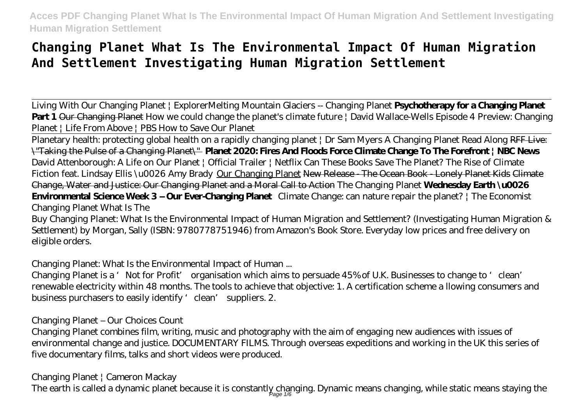## **Changing Planet What Is The Environmental Impact Of Human Migration And Settlement Investigating Human Migration Settlement**

Living With Our Changing Planet | Explorer*Melting Mountain Glaciers -- Changing Planet* **Psychotherapy for a Changing Planet Part 1** Our Changing Planet How we could change the planet's climate future | David Wallace-Wells *Episode 4 Preview: Changing Planet | Life From Above | PBS How to Save Our Planet*

Planetary health: protecting global health on a rapidly changing planet | Dr Sam Myers A Changing Planet Read Along RFF Live: \"Taking the Pulse of a Changing Planet\" **Planet 2020: Fires And Floods Force Climate Change To The Forefront | NBC News** *David Attenborough: A Life on Our Planet | Official Trailer | Netflix Can These Books Save The Planet? The Rise of Climate Fiction feat. Lindsay Ellis \u0026 Amy Brady* Our Changing Planet New Release - The Ocean Book - Lonely Planet Kids Climate Change, Water and Justice: Our Changing Planet and a Moral Call to Action *The Changing Planet* **Wednesday Earth \u0026 Environmental Science Week 3 – Our Ever-Changing Planet** *Climate Change: can nature repair the planet? | The Economist* Changing Planet What Is The

Buy Changing Planet: What Is the Environmental Impact of Human Migration and Settlement? (Investigating Human Migration & Settlement) by Morgan, Sally (ISBN: 9780778751946) from Amazon's Book Store. Everyday low prices and free delivery on eligible orders.

Changing Planet: What Is the Environmental Impact of Human ...

Changing Planet is a 'Not for Profit' organisation which aims to persuade 45% of U.K. Businesses to change to 'clean' renewable electricity within 48 months. The tools to achieve that objective: 1. A certification scheme a llowing consumers and business purchasers to easily identify 'clean' suppliers. 2.

Changing Planet – Our Choices Count

Changing Planet combines film, writing, music and photography with the aim of engaging new audiences with issues of environmental change and justice. DOCUMENTARY FILMS. Through overseas expeditions and working in the UK this series of five documentary films, talks and short videos were produced.

Changing Planet | Cameron Mackay

The earth is called a dynamic planet because it is constantly changing. Dynamic means changing, while static means staying the  $\eta_{\rm age}$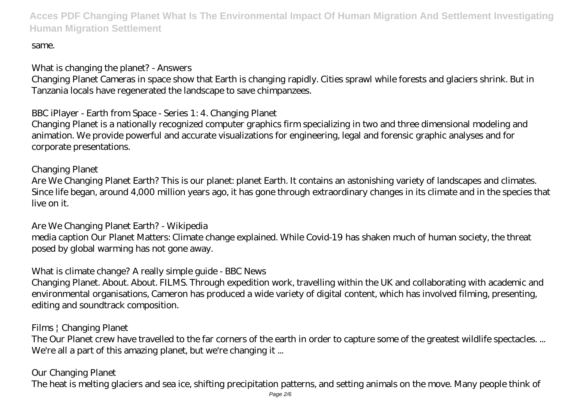## same.

What is changing the planet? - Answers

Changing Planet Cameras in space show that Earth is changing rapidly. Cities sprawl while forests and glaciers shrink. But in Tanzania locals have regenerated the landscape to save chimpanzees.

BBC iPlayer - Earth from Space - Series 1: 4. Changing Planet

Changing Planet is a nationally recognized computer graphics firm specializing in two and three dimensional modeling and animation. We provide powerful and accurate visualizations for engineering, legal and forensic graphic analyses and for corporate presentations.

Changing Planet Are We Changing Planet Earth? This is our planet: planet Earth. It contains an astonishing variety of landscapes and climates. Since life began, around 4,000 million years ago, it has gone through extraordinary changes in its climate and in the species that live on it.

Are We Changing Planet Earth? - Wikipedia media caption Our Planet Matters: Climate change explained. While Covid-19 has shaken much of human society, the threat posed by global warming has not gone away.

What is climate change? A really simple guide - BBC News

Changing Planet. About. About. FILMS. Through expedition work, travelling within the UK and collaborating with academic and environmental organisations, Cameron has produced a wide variety of digital content, which has involved filming, presenting, editing and soundtrack composition.

Films | Changing Planet

The Our Planet crew have travelled to the far corners of the earth in order to capture some of the greatest wildlife spectacles. ... We're all a part of this amazing planet, but we're changing it ...

Our Changing Planet

The heat is melting glaciers and sea ice, shifting precipitation patterns, and setting animals on the move. Many people think of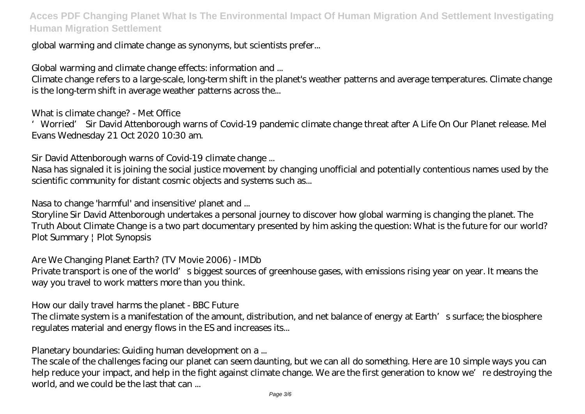global warming and climate change as synonyms, but scientists prefer...

Global warming and climate change effects: information and ...

Climate change refers to a large-scale, long-term shift in the planet's weather patterns and average temperatures. Climate change is the long-term shift in average weather patterns across the...

What is climate change? - Met Office

'Worried' Sir David Attenborough warns of Covid-19 pandemic climate change threat after A Life On Our Planet release. Mel Evans Wednesday 21 Oct 2020 10:30 am.

Sir David Attenborough warns of Covid-19 climate change ...

Nasa has signaled it is joining the social justice movement by changing unofficial and potentially contentious names used by the scientific community for distant cosmic objects and systems such as...

Nasa to change 'harmful' and insensitive' planet and ...

Storyline Sir David Attenborough undertakes a personal journey to discover how global warming is changing the planet. The Truth About Climate Change is a two part documentary presented by him asking the question: What is the future for our world? Plot Summary | Plot Synopsis

Are We Changing Planet Earth? (TV Movie 2006) - IMDb Private transport is one of the world's biggest sources of greenhouse gases, with emissions rising year on year. It means the way you travel to work matters more than you think.

How our daily travel harms the planet - BBC Future

The climate system is a manifestation of the amount, distribution, and net balance of energy at Earth's surface; the biosphere regulates material and energy flows in the ES and increases its...

Planetary boundaries: Guiding human development on a ...

The scale of the challenges facing our planet can seem daunting, but we can all do something. Here are 10 simple ways you can help reduce your impact, and help in the fight against climate change. We are the first generation to know we're destroying the world, and we could be the last that can ...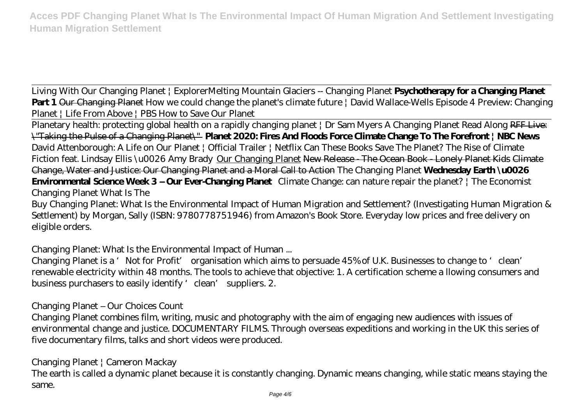Living With Our Changing Planet | Explorer*Melting Mountain Glaciers -- Changing Planet* **Psychotherapy for a Changing Planet Part 1** Our Changing Planet How we could change the planet's climate future | David Wallace-Wells *Episode 4 Preview: Changing Planet | Life From Above | PBS How to Save Our Planet*

Planetary health: protecting global health on a rapidly changing planet | Dr Sam Myers A Changing Planet Read Along RFF Live: \"Taking the Pulse of a Changing Planet\" **Planet 2020: Fires And Floods Force Climate Change To The Forefront | NBC News** *David Attenborough: A Life on Our Planet | Official Trailer | Netflix Can These Books Save The Planet? The Rise of Climate Fiction feat. Lindsay Ellis \u0026 Amy Brady* Our Changing Planet New Release - The Ocean Book - Lonely Planet Kids Climate Change, Water and Justice: Our Changing Planet and a Moral Call to Action *The Changing Planet* **Wednesday Earth \u0026 Environmental Science Week 3 – Our Ever-Changing Planet** *Climate Change: can nature repair the planet? | The Economist* Changing Planet What Is The

Buy Changing Planet: What Is the Environmental Impact of Human Migration and Settlement? (Investigating Human Migration & Settlement) by Morgan, Sally (ISBN: 9780778751946) from Amazon's Book Store. Everyday low prices and free delivery on eligible orders.

Changing Planet: What Is the Environmental Impact of Human ...

Changing Planet is a 'Not for Profit' organisation which aims to persuade 45% of U.K. Businesses to change to 'clean' renewable electricity within 48 months. The tools to achieve that objective: 1. A certification scheme a llowing consumers and business purchasers to easily identify 'clean' suppliers. 2.

Changing Planet – Our Choices Count

Changing Planet combines film, writing, music and photography with the aim of engaging new audiences with issues of environmental change and justice. DOCUMENTARY FILMS. Through overseas expeditions and working in the UK this series of five documentary films, talks and short videos were produced.

Changing Planet | Cameron Mackay

The earth is called a dynamic planet because it is constantly changing. Dynamic means changing, while static means staying the same.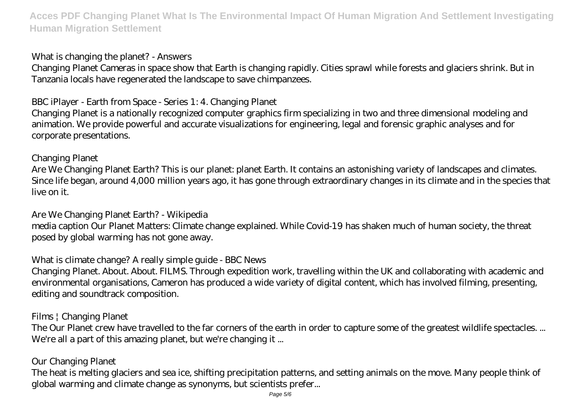What is changing the planet? - Answers

Changing Planet Cameras in space show that Earth is changing rapidly. Cities sprawl while forests and glaciers shrink. But in Tanzania locals have regenerated the landscape to save chimpanzees.

BBC iPlayer - Earth from Space - Series 1: 4. Changing Planet

Changing Planet is a nationally recognized computer graphics firm specializing in two and three dimensional modeling and animation. We provide powerful and accurate visualizations for engineering, legal and forensic graphic analyses and for corporate presentations.

Changing Planet

Are We Changing Planet Earth? This is our planet: planet Earth. It contains an astonishing variety of landscapes and climates. Since life began, around 4,000 million years ago, it has gone through extraordinary changes in its climate and in the species that live on it.

Are We Changing Planet Earth? - Wikipedia

media caption Our Planet Matters: Climate change explained. While Covid-19 has shaken much of human society, the threat posed by global warming has not gone away.

What is climate change? A really simple guide - BBC News

Changing Planet. About. About. FILMS. Through expedition work, travelling within the UK and collaborating with academic and environmental organisations, Cameron has produced a wide variety of digital content, which has involved filming, presenting, editing and soundtrack composition.

Films | Changing Planet

The Our Planet crew have travelled to the far corners of the earth in order to capture some of the greatest wildlife spectacles. ... We're all a part of this amazing planet, but we're changing it ...

## Our Changing Planet

The heat is melting glaciers and sea ice, shifting precipitation patterns, and setting animals on the move. Many people think of global warming and climate change as synonyms, but scientists prefer...